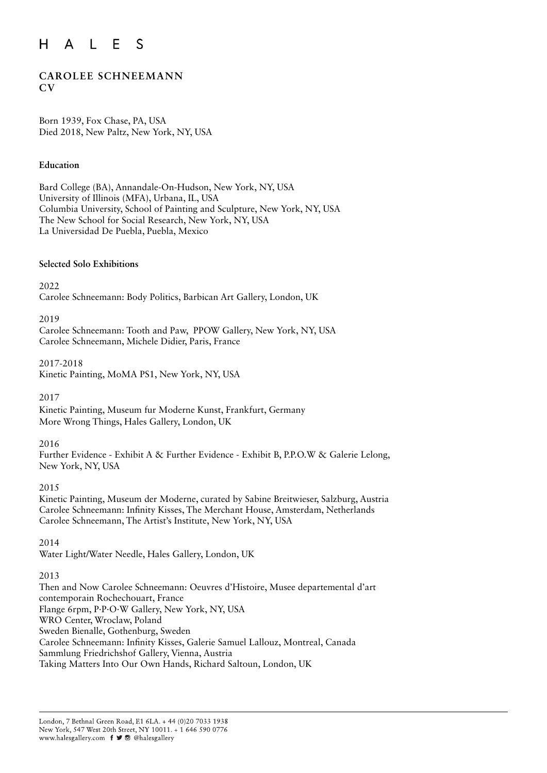#### $H$  $\mathsf{L}$ E S  $\mathsf{A}$

# **CAROLEE SCHNEEMANN CV**

Born 1939, Fox Chase, PA, USA Died 2018, New Paltz, New York, NY, USA

#### **Education**

Bard College (BA), Annandale-On-Hudson, New York, NY, USA University of Illinois (MFA), Urbana, IL, USA Columbia University, School of Painting and Sculpture, New York, NY, USA The New School for Social Research, New York, NY, USA La Universidad De Puebla, Puebla, Mexico

#### **Selected Solo Exhibitions**

2022

Carolee Schneemann: Body Politics, Barbican Art Gallery, London, UK

#### 2019

Carolee Schneemann: Tooth and Paw, PPOW Gallery, New York, NY, USA Carolee Schneemann, Michele Didier, Paris, France

2017-2018

Kinetic Painting, MoMA PS1, New York, NY, USA

#### 2017

Kinetic Painting, Museum fur Moderne Kunst, Frankfurt, Germany More Wrong Things, Hales Gallery, London, UK

#### 2016

Further Evidence - Exhibit A & Further Evidence - Exhibit B, P.P.O.W & Galerie Lelong, New York, NY, USA

#### 2015

Kinetic Painting, Museum der Moderne, curated by Sabine Breitwieser, Salzburg, Austria Carolee Schneemann: Infinity Kisses, The Merchant House, Amsterdam, Netherlands Carolee Schneemann, The Artist's Institute, New York, NY, USA

#### 2014

Water Light/Water Needle, Hales Gallery, London, UK

#### 2013

Then and Now Carolee Schneemann: Oeuvres d'Histoire, Musee departemental d'art contemporain Rochechouart, France Flange 6rpm, P·P·O·W Gallery, New York, NY, USA WRO Center, Wroclaw, Poland Sweden Bienalle, Gothenburg, Sweden Carolee Schneemann: Infinity Kisses, Galerie Samuel Lallouz, Montreal, Canada Sammlung Friedrichshof Gallery, Vienna, Austria Taking Matters Into Our Own Hands, Richard Saltoun, London, UK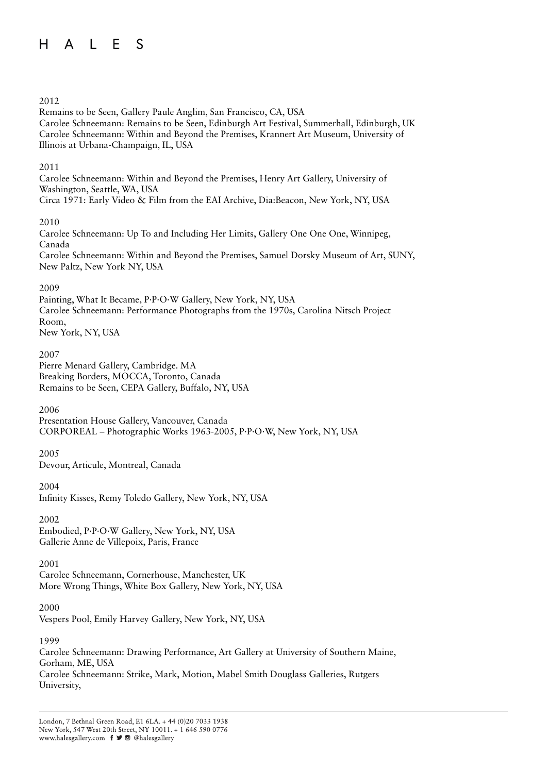#### $A \mid F$  $H$ S

#### 2012

Remains to be Seen, Gallery Paule Anglim, San Francisco, CA, USA Carolee Schneemann: Remains to be Seen, Edinburgh Art Festival, Summerhall, Edinburgh, UK Carolee Schneemann: Within and Beyond the Premises, Krannert Art Museum, University of Illinois at Urbana-Champaign, IL, USA

#### 2011

Carolee Schneemann: Within and Beyond the Premises, Henry Art Gallery, University of Washington, Seattle, WA, USA Circa 1971: Early Video & Film from the EAI Archive, Dia:Beacon, New York, NY, USA

#### 2010

Carolee Schneemann: Up To and Including Her Limits, Gallery One One One, Winnipeg, Canada Carolee Schneemann: Within and Beyond the Premises, Samuel Dorsky Museum of Art, SUNY, New Paltz, New York NY, USA

## 2009

Painting, What It Became, P·P·O·W Gallery, New York, NY, USA Carolee Schneemann: Performance Photographs from the 1970s, Carolina Nitsch Project Room, New York, NY, USA

#### 2007

Pierre Menard Gallery, Cambridge. MA Breaking Borders, MOCCA, Toronto, Canada Remains to be Seen, CEPA Gallery, Buffalo, NY, USA

2006

Presentation House Gallery, Vancouver, Canada CORPOREAL – Photographic Works 1963-2005, P·P·O·W, New York, NY, USA

2005 Devour, Articule, Montreal, Canada

2004

Infinity Kisses, Remy Toledo Gallery, New York, NY, USA

2002

Embodied, P·P·O·W Gallery, New York, NY, USA Gallerie Anne de Villepoix, Paris, France

#### 2001

Carolee Schneemann, Cornerhouse, Manchester, UK More Wrong Things, White Box Gallery, New York, NY, USA

2000

Vespers Pool, Emily Harvey Gallery, New York, NY, USA

1999

Carolee Schneemann: Drawing Performance, Art Gallery at University of Southern Maine, Gorham, ME, USA Carolee Schneemann: Strike, Mark, Motion, Mabel Smith Douglass Galleries, Rutgers University,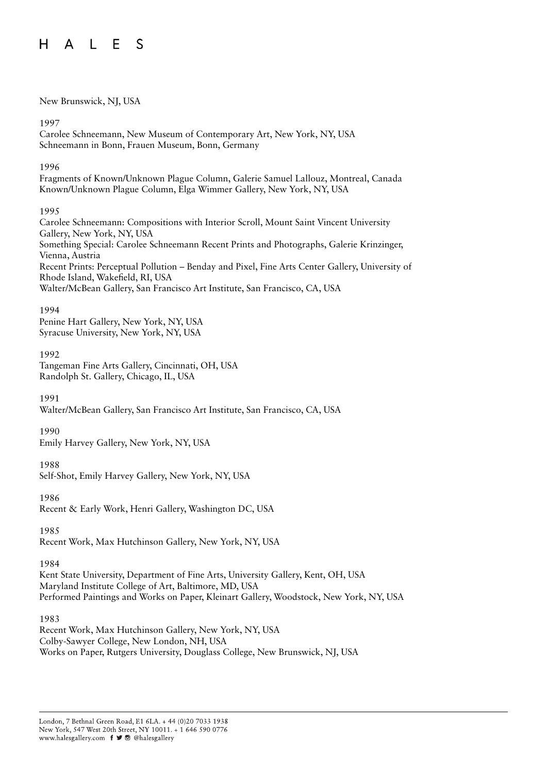#### $A \cup F$  $H$ S

#### New Brunswick, NJ, USA

#### 1997

Carolee Schneemann, New Museum of Contemporary Art, New York, NY, USA Schneemann in Bonn, Frauen Museum, Bonn, Germany

#### 1996

Fragments of Known/Unknown Plague Column, Galerie Samuel Lallouz, Montreal, Canada Known/Unknown Plague Column, Elga Wimmer Gallery, New York, NY, USA

## 1995

Carolee Schneemann: Compositions with Interior Scroll, Mount Saint Vincent University Gallery, New York, NY, USA Something Special: Carolee Schneemann Recent Prints and Photographs, Galerie Krinzinger, Vienna, Austria Recent Prints: Perceptual Pollution – Benday and Pixel, Fine Arts Center Gallery, University of Rhode Island, Wakefield, RI, USA Walter/McBean Gallery, San Francisco Art Institute, San Francisco, CA, USA

#### 1994

Penine Hart Gallery, New York, NY, USA Syracuse University, New York, NY, USA

## 1992

Tangeman Fine Arts Gallery, Cincinnati, OH, USA Randolph St. Gallery, Chicago, IL, USA

1991

Walter/McBean Gallery, San Francisco Art Institute, San Francisco, CA, USA

#### 1990

Emily Harvey Gallery, New York, NY, USA

# 1988

Self-Shot, Emily Harvey Gallery, New York, NY, USA

#### 1986

Recent & Early Work, Henri Gallery, Washington DC, USA

1985

Recent Work, Max Hutchinson Gallery, New York, NY, USA

#### 1984

Kent State University, Department of Fine Arts, University Gallery, Kent, OH, USA Maryland Institute College of Art, Baltimore, MD, USA Performed Paintings and Works on Paper, Kleinart Gallery, Woodstock, New York, NY, USA

1983

Recent Work, Max Hutchinson Gallery, New York, NY, USA Colby-Sawyer College, New London, NH, USA Works on Paper, Rutgers University, Douglass College, New Brunswick, NJ, USA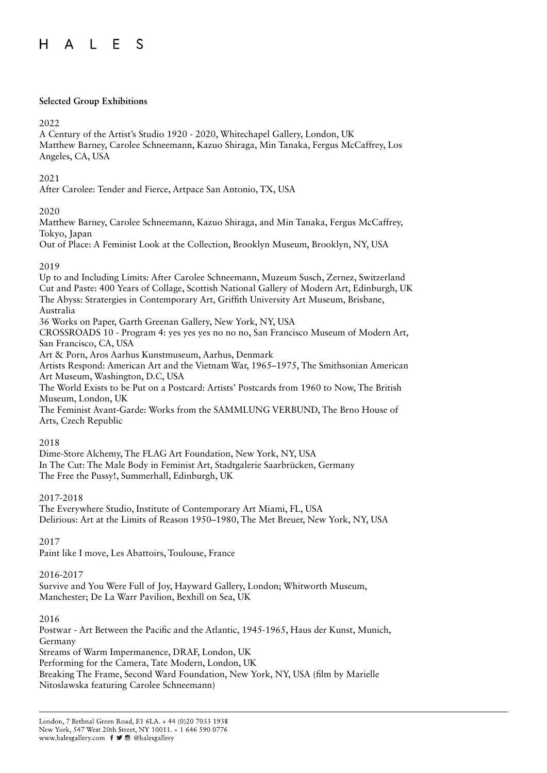#### **Selected Group Exhibitions**

## 2022

A Century of the Artist's Studio 1920 - 2020, Whitechapel Gallery, London, UK Matthew Barney, Carolee Schneemann, Kazuo Shiraga, Min Tanaka, Fergus McCaffrey, Los Angeles, CA, USA

## 2021

After Carolee: Tender and Fierce, Artpace San Antonio, TX, USA

# 2020

Matthew Barney, Carolee Schneemann, Kazuo Shiraga, and Min Tanaka, Fergus McCaffrey, Tokyo, Japan

Out of Place: A Feminist Look at the Collection, Brooklyn Museum, Brooklyn, NY, USA

#### 2019

Up to and Including Limits: After Carolee Schneemann, Muzeum Susch, Zernez, Switzerland Cut and Paste: 400 Years of Collage, Scottish National Gallery of Modern Art, Edinburgh, UK The Abyss: Stratergies in Contemporary Art, Griffith University Art Museum, Brisbane, Australia 36 Works on Paper, Garth Greenan Gallery, New York, NY, USA CROSSROADS 10 - Program 4: yes yes yes no no no, San Francisco Museum of Modern Art, San Francisco, CA, USA Art & Porn, Aros Aarhus Kunstmuseum, Aarhus, Denmark

Artists Respond: American Art and the Vietnam War, 1965–1975, The Smithsonian American Art Museum, Washington, D.C, USA

The World Exists to be Put on a Postcard: Artists' Postcards from 1960 to Now, The British Museum, London, UK

The Feminist Avant-Garde: Works from the SAMMLUNG VERBUND, The Brno House of Arts, Czech Republic

#### 2018

Dime-Store Alchemy, The FLAG Art Foundation, New York, NY, USA In The Cut: The Male Body in Feminist Art, Stadtgalerie Saarbrücken, Germany The Free the Pussy!, Summerhall, Edinburgh, UK

# 2017-2018

The Everywhere Studio, Institute of Contemporary Art Miami, FL, USA Delirious: Art at the Limits of Reason 1950–1980, The Met Breuer, New York, NY, USA

2017

Paint like I move, Les Abattoirs, Toulouse, France

#### 2016-2017

Survive and You Were Full of Joy, Hayward Gallery, London; Whitworth Museum, Manchester; De La Warr Pavilion, Bexhill on Sea, UK

2016

Postwar - Art Between the Pacific and the Atlantic, 1945-1965, Haus der Kunst, Munich, Germany Streams of Warm Impermanence, DRAF, London, UK Performing for the Camera, Tate Modern, London, UK Breaking The Frame, Second Ward Foundation, New York, NY, USA (film by Marielle Nitoslawska featuring Carolee Schneemann)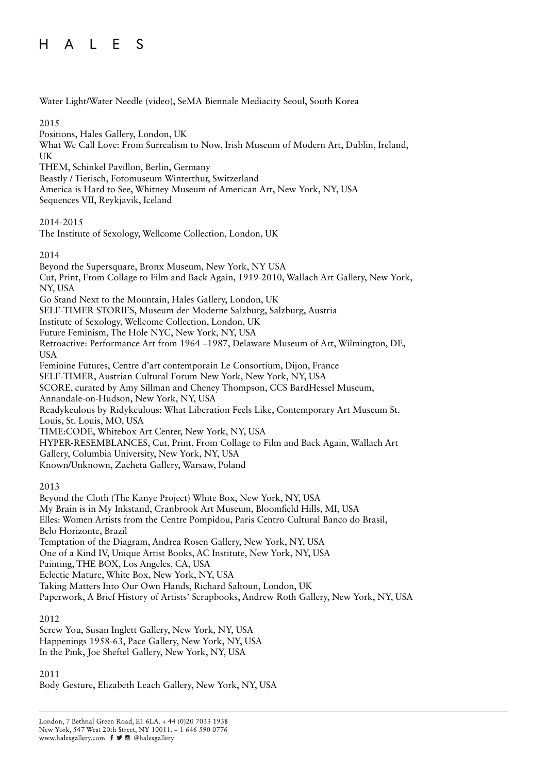Water Light/Water Needle (video), SeMA Biennale Mediacity Seoul, South Korea

#### 2015

Positions, Hales Gallery, London, UK What We Call Love: From Surrealism to Now, Irish Museum of Modern Art, Dublin, Ireland, UK THEM, Schinkel Pavillon, Berlin, Germany

Beastly / Tierisch, Fotomuseum Winterthur, Switzerland

America is Hard to See, Whitney Museum of American Art, New York, NY, USA

Sequences VII, Reykjavik, Iceland

## 2014-2015

The Institute of Sexology, Wellcome Collection, London, UK

## 2014

Beyond the Supersquare, Bronx Museum, New York, NY USA Cut, Print, From Collage to Film and Back Again, 1919-2010, Wallach Art Gallery, New York, NY, USA Go Stand Next to the Mountain, Hales Gallery, London, UK SELF-TIMER STORIES, Museum der Moderne Salzburg, Salzburg, Austria Institute of Sexology, Wellcome Collection, London, UK Future Feminism, The Hole NYC, New York, NY, USA Retroactive: Performance Art from 1964 –1987, Delaware Museum of Art, Wilmington, DE, USA Feminine Futures, Centre d'art contemporain Le Consortium, Dijon, France SELF-TIMER, Austrian Cultural Forum New York, New York, NY, USA SCORE, curated by Amy Sillman and Cheney Thompson, CCS BardHessel Museum, Annandale-on-Hudson, New York, NY, USA Readykeulous by Ridykeulous: What Liberation Feels Like, Contemporary Art Museum St. Louis, St. Louis, MO, USA TIME:CODE, Whitebox Art Center, New York, NY, USA HYPER-RESEMBLANCES, Cut, Print, From Collage to Film and Back Again, Wallach Art Gallery, Columbia University, New York, NY, USA Known/Unknown, Zacheta Gallery, Warsaw, Poland

#### 2013

Beyond the Cloth (The Kanye Project) White Box, New York, NY, USA My Brain is in My Inkstand, Cranbrook Art Museum, Bloomfield Hills, MI, USA Elles: Women Artists from the Centre Pompidou, Paris Centro Cultural Banco do Brasil, Belo Horizonte, Brazil Temptation of the Diagram, Andrea Rosen Gallery, New York, NY, USA One of a Kind IV, Unique Artist Books, AC Institute, New York, NY, USA Painting, THE BOX, Los Angeles, CA, USA Eclectic Mature, White Box, New York, NY, USA Taking Matters Into Our Own Hands, Richard Saltoun, London, UK Paperwork, A Brief History of Artists' Scrapbooks, Andrew Roth Gallery, New York, NY, USA

#### 2012

Screw You, Susan Inglett Gallery, New York, NY, USA Happenings 1958-63, Pace Gallery, New York, NY, USA In the Pink, Joe Sheftel Gallery, New York, NY, USA

#### 2011

Body Gesture, Elizabeth Leach Gallery, New York, NY, USA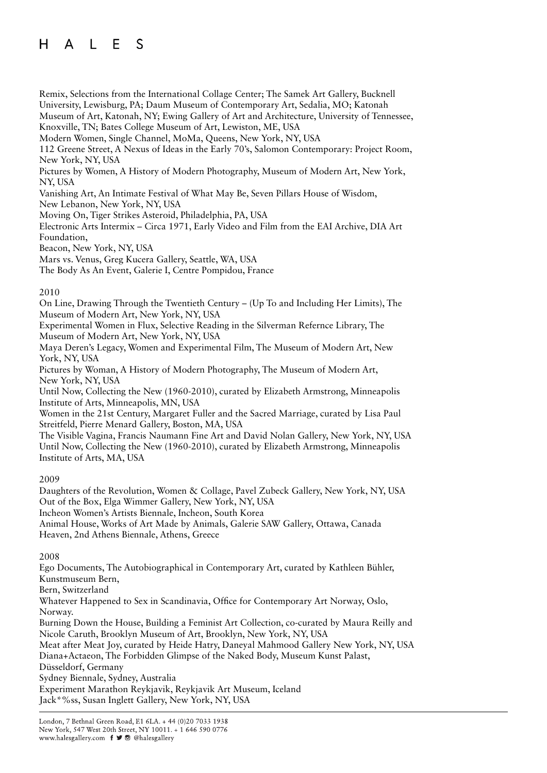Remix, Selections from the International Collage Center; The Samek Art Gallery, Bucknell University, Lewisburg, PA; Daum Museum of Contemporary Art, Sedalia, MO; Katonah Museum of Art, Katonah, NY; Ewing Gallery of Art and Architecture, University of Tennessee, Knoxville, TN; Bates College Museum of Art, Lewiston, ME, USA Modern Women, Single Channel, MoMa, Queens, New York, NY, USA 112 Greene Street, A Nexus of Ideas in the Early 70's, Salomon Contemporary: Project Room, New York, NY, USA Pictures by Women, A History of Modern Photography, Museum of Modern Art, New York, NY, USA Vanishing Art, An Intimate Festival of What May Be, Seven Pillars House of Wisdom, New Lebanon, New York, NY, USA Moving On, Tiger Strikes Asteroid, Philadelphia, PA, USA

Electronic Arts Intermix – Circa 1971, Early Video and Film from the EAI Archive, DIA Art Foundation,

Beacon, New York, NY, USA

Mars vs. Venus, Greg Kucera Gallery, Seattle, WA, USA

The Body As An Event, Galerie I, Centre Pompidou, France

#### 2010

On Line, Drawing Through the Twentieth Century – (Up To and Including Her Limits), The Museum of Modern Art, New York, NY, USA

Experimental Women in Flux, Selective Reading in the Silverman Refernce Library, The Museum of Modern Art, New York, NY, USA

Maya Deren's Legacy, Women and Experimental Film, The Museum of Modern Art, New York, NY, USA

Pictures by Woman, A History of Modern Photography, The Museum of Modern Art, New York, NY, USA

Until Now, Collecting the New (1960-2010), curated by Elizabeth Armstrong, Minneapolis Institute of Arts, Minneapolis, MN, USA

Women in the 21st Century, Margaret Fuller and the Sacred Marriage, curated by Lisa Paul Streitfeld, Pierre Menard Gallery, Boston, MA, USA

The Visible Vagina, Francis Naumann Fine Art and David Nolan Gallery, New York, NY, USA Until Now, Collecting the New (1960-2010), curated by Elizabeth Armstrong, Minneapolis Institute of Arts, MA, USA

#### 2009

Daughters of the Revolution, Women & Collage, Pavel Zubeck Gallery, New York, NY, USA Out of the Box, Elga Wimmer Gallery, New York, NY, USA

Incheon Women's Artists Biennale, Incheon, South Korea

Animal House, Works of Art Made by Animals, Galerie SAW Gallery, Ottawa, Canada Heaven, 2nd Athens Biennale, Athens, Greece

#### 2008

Ego Documents, The Autobiographical in Contemporary Art, curated by Kathleen Bühler, Kunstmuseum Bern,

Bern, Switzerland

Whatever Happened to Sex in Scandinavia, Office for Contemporary Art Norway, Oslo, Norway.

Burning Down the House, Building a Feminist Art Collection, co-curated by Maura Reilly and Nicole Caruth, Brooklyn Museum of Art, Brooklyn, New York, NY, USA

Meat after Meat Joy, curated by Heide Hatry, Daneyal Mahmood Gallery New York, NY, USA Diana+Actaeon, The Forbidden Glimpse of the Naked Body, Museum Kunst Palast,

Düsseldorf, Germany

Sydney Biennale, Sydney, Australia

Experiment Marathon Reykjavik, Reykjavik Art Museum, Iceland Jack\*%ss, Susan Inglett Gallery, New York, NY, USA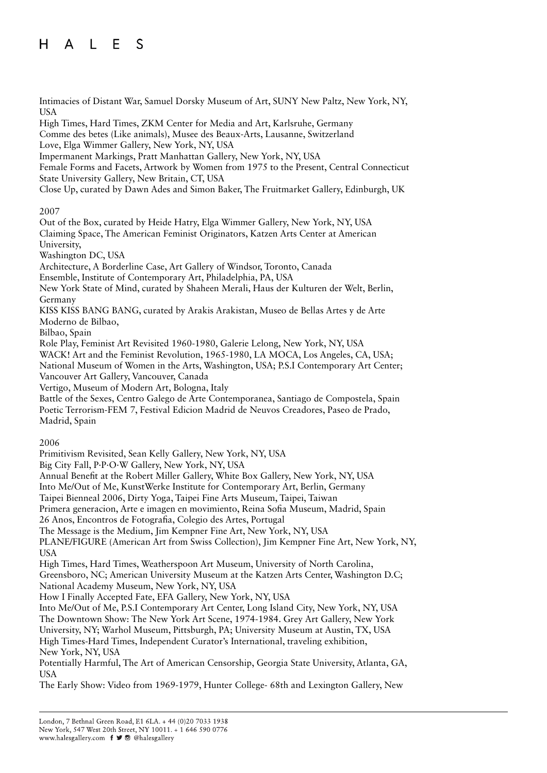Intimacies of Distant War, Samuel Dorsky Museum of Art, SUNY New Paltz, New York, NY, USA High Times, Hard Times, ZKM Center for Media and Art, Karlsruhe, Germany Comme des betes (Like animals), Musee des Beaux-Arts, Lausanne, Switzerland Love, Elga Wimmer Gallery, New York, NY, USA Impermanent Markings, Pratt Manhattan Gallery, New York, NY, USA Female Forms and Facets, Artwork by Women from 1975 to the Present, Central Connecticut State University Gallery, New Britain, CT, USA Close Up, curated by Dawn Ades and Simon Baker, The Fruitmarket Gallery, Edinburgh, UK 2007 Out of the Box, curated by Heide Hatry, Elga Wimmer Gallery, New York, NY, USA Claiming Space, The American Feminist Originators, Katzen Arts Center at American University, Washington DC, USA Architecture, A Borderline Case, Art Gallery of Windsor, Toronto, Canada Ensemble, Institute of Contemporary Art, Philadelphia, PA, USA New York State of Mind, curated by Shaheen Merali, Haus der Kulturen der Welt, Berlin, Germany KISS KISS BANG BANG, curated by Arakis Arakistan, Museo de Bellas Artes y de Arte Moderno de Bilbao, Bilbao, Spain Role Play, Feminist Art Revisited 1960-1980, Galerie Lelong, New York, NY, USA WACK! Art and the Feminist Revolution, 1965-1980, LA MOCA, Los Angeles, CA, USA; National Museum of Women in the Arts, Washington, USA; P.S.I Contemporary Art Center; Vancouver Art Gallery, Vancouver, Canada Vertigo, Museum of Modern Art, Bologna, Italy Battle of the Sexes, Centro Galego de Arte Contemporanea, Santiago de Compostela, Spain Poetic Terrorism-FEM 7, Festival Edicion Madrid de Neuvos Creadores, Paseo de Prado, Madrid, Spain

2006

Primitivism Revisited, Sean Kelly Gallery, New York, NY, USA

Big City Fall, P·P·O·W Gallery, New York, NY, USA

Annual Benefit at the Robert Miller Gallery, White Box Gallery, New York, NY, USA

Into Me/Out of Me, KunstWerke Institute for Contemporary Art, Berlin, Germany

Taipei Bienneal 2006, Dirty Yoga, Taipei Fine Arts Museum, Taipei, Taiwan

Primera generacion, Arte e imagen en movimiento, Reina Sofia Museum, Madrid, Spain

26 Anos, Encontros de Fotografia, Colegio des Artes, Portugal

The Message is the Medium, Jim Kempner Fine Art, New York, NY, USA

PLANE/FIGURE (American Art from Swiss Collection), Jim Kempner Fine Art, New York, NY, USA

High Times, Hard Times, Weatherspoon Art Museum, University of North Carolina, Greensboro, NC; American University Museum at the Katzen Arts Center, Washington D.C; National Academy Museum, New York, NY, USA

How I Finally Accepted Fate, EFA Gallery, New York, NY, USA

Into Me/Out of Me, P.S.I Contemporary Art Center, Long Island City, New York, NY, USA The Downtown Show: The New York Art Scene, 1974-1984. Grey Art Gallery, New York University, NY; Warhol Museum, Pittsburgh, PA; University Museum at Austin, TX, USA High Times-Hard Times, Independent Curator's International, traveling exhibition, New York, NY, USA

Potentially Harmful, The Art of American Censorship, Georgia State University, Atlanta, GA, USA

The Early Show: Video from 1969-1979, Hunter College- 68th and Lexington Gallery, New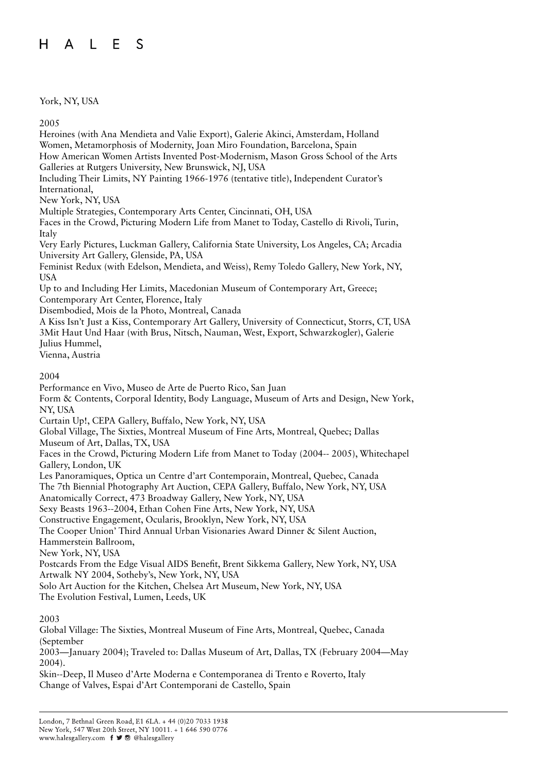# York, NY, USA

2005

Heroines (with Ana Mendieta and Valie Export), Galerie Akinci, Amsterdam, Holland Women, Metamorphosis of Modernity, Joan Miro Foundation, Barcelona, Spain How American Women Artists Invented Post-Modernism, Mason Gross School of the Arts Galleries at Rutgers University, New Brunswick, NJ, USA Including Their Limits, NY Painting 1966-1976 (tentative title), Independent Curator's International, New York, NY, USA Multiple Strategies, Contemporary Arts Center, Cincinnati, OH, USA Faces in the Crowd, Picturing Modern Life from Manet to Today, Castello di Rivoli, Turin, Italy Very Early Pictures, Luckman Gallery, California State University, Los Angeles, CA; Arcadia University Art Gallery, Glenside, PA, USA Feminist Redux (with Edelson, Mendieta, and Weiss), Remy Toledo Gallery, New York, NY, USA Up to and Including Her Limits, Macedonian Museum of Contemporary Art, Greece; Contemporary Art Center, Florence, Italy Disembodied, Mois de la Photo, Montreal, Canada A Kiss Isn't Just a Kiss, Contemporary Art Gallery, University of Connecticut, Storrs, CT, USA 3Mit Haut Und Haar (with Brus, Nitsch, Nauman, West, Export, Schwarzkogler), Galerie Julius Hummel, Vienna, Austria 2004 Performance en Vivo, Museo de Arte de Puerto Rico, San Juan Form & Contents, Corporal Identity, Body Language, Museum of Arts and Design, New York, NY, USA Curtain Up!, CEPA Gallery, Buffalo, New York, NY, USA Global Village, The Sixties, Montreal Museum of Fine Arts, Montreal, Quebec; Dallas Museum of Art, Dallas, TX, USA Faces in the Crowd, Picturing Modern Life from Manet to Today (2004-- 2005), Whitechapel Gallery, London, UK Les Panoramiques, Optica un Centre d'art Contemporain, Montreal, Quebec, Canada The 7th Biennial Photography Art Auction, CEPA Gallery, Buffalo, New York, NY, USA Anatomically Correct, 473 Broadway Gallery, New York, NY, USA Sexy Beasts 1963--2004, Ethan Cohen Fine Arts, New York, NY, USA Constructive Engagement, Ocularis, Brooklyn, New York, NY, USA The Cooper Union' Third Annual Urban Visionaries Award Dinner & Silent Auction, Hammerstein Ballroom, New York, NY, USA Postcards From the Edge Visual AIDS Benefit, Brent Sikkema Gallery, New York, NY, USA Artwalk NY 2004, Sotheby's, New York, NY, USA Solo Art Auction for the Kitchen, Chelsea Art Museum, New York, NY, USA The Evolution Festival, Lumen, Leeds, UK

2003

Global Village: The Sixties, Montreal Museum of Fine Arts, Montreal, Quebec, Canada (September 2003—January 2004); Traveled to: Dallas Museum of Art, Dallas, TX (February 2004—May

2004).

Skin--Deep, Il Museo d'Arte Moderna e Contemporanea di Trento e Roverto, Italy Change of Valves, Espai d'Art Contemporani de Castello, Spain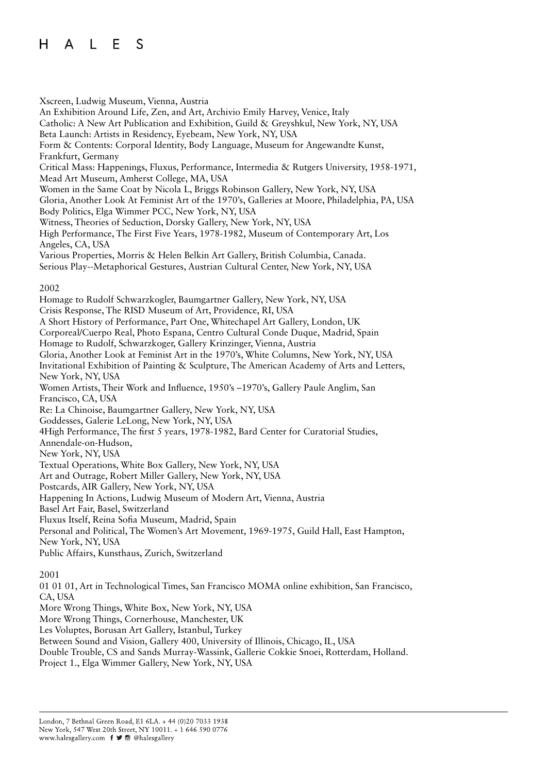Xscreen, Ludwig Museum, Vienna, Austria An Exhibition Around Life, Zen, and Art, Archivio Emily Harvey, Venice, Italy Catholic: A New Art Publication and Exhibition, Guild & Greyshkul, New York, NY, USA Beta Launch: Artists in Residency, Eyebeam, New York, NY, USA Form & Contents: Corporal Identity, Body Language, Museum for Angewandte Kunst, Frankfurt, Germany Critical Mass: Happenings, Fluxus, Performance, Intermedia & Rutgers University, 1958-1971, Mead Art Museum, Amherst College, MA, USA Women in the Same Coat by Nicola L, Briggs Robinson Gallery, New York, NY, USA Gloria, Another Look At Feminist Art of the 1970's, Galleries at Moore, Philadelphia, PA, USA Body Politics, Elga Wimmer PCC, New York, NY, USA Witness, Theories of Seduction, Dorsky Gallery, New York, NY, USA High Performance, The First Five Years, 1978-1982, Museum of Contemporary Art, Los Angeles, CA, USA Various Properties, Morris & Helen Belkin Art Gallery, British Columbia, Canada. Serious Play--Metaphorical Gestures, Austrian Cultural Center, New York, NY, USA 2002 Homage to Rudolf Schwarzkogler, Baumgartner Gallery, New York, NY, USA Crisis Response, The RISD Museum of Art, Providence, RI, USA A Short History of Performance, Part One, Whitechapel Art Gallery, London, UK Corporeal/Cuerpo Real, Photo Espana, Centro Cultural Conde Duque, Madrid, Spain Homage to Rudolf, Schwarzkoger, Gallery Krinzinger, Vienna, Austria Gloria, Another Look at Feminist Art in the 1970's, White Columns, New York, NY, USA Invitational Exhibition of Painting & Sculpture, The American Academy of Arts and Letters, New York, NY, USA Women Artists, Their Work and Influence, 1950's –1970's, Gallery Paule Anglim, San Francisco, CA, USA Re: La Chinoise, Baumgartner Gallery, New York, NY, USA Goddesses, Galerie LeLong, New York, NY, USA 4High Performance, The first 5 years, 1978-1982, Bard Center for Curatorial Studies, Annendale-on-Hudson, New York, NY, USA Textual Operations, White Box Gallery, New York, NY, USA Art and Outrage, Robert Miller Gallery, New York, NY, USA Postcards, AIR Gallery, New York, NY, USA Happening In Actions, Ludwig Museum of Modern Art, Vienna, Austria Basel Art Fair, Basel, Switzerland Fluxus Itself, Reina Sofia Museum, Madrid, Spain Personal and Political, The Women's Art Movement, 1969-1975, Guild Hall, East Hampton, New York, NY, USA Public Affairs, Kunsthaus, Zurich, Switzerland 2001

01 01 01, Art in Technological Times, San Francisco MOMA online exhibition, San Francisco, CA, USA

More Wrong Things, White Box, New York, NY, USA

More Wrong Things, Cornerhouse, Manchester, UK

Les Voluptes, Borusan Art Gallery, Istanbul, Turkey

Between Sound and Vision, Gallery 400, University of Illinois, Chicago, IL, USA

Double Trouble, CS and Sands Murray-Wassink, Gallerie Cokkie Snoei, Rotterdam, Holland.

Project 1., Elga Wimmer Gallery, New York, NY, USA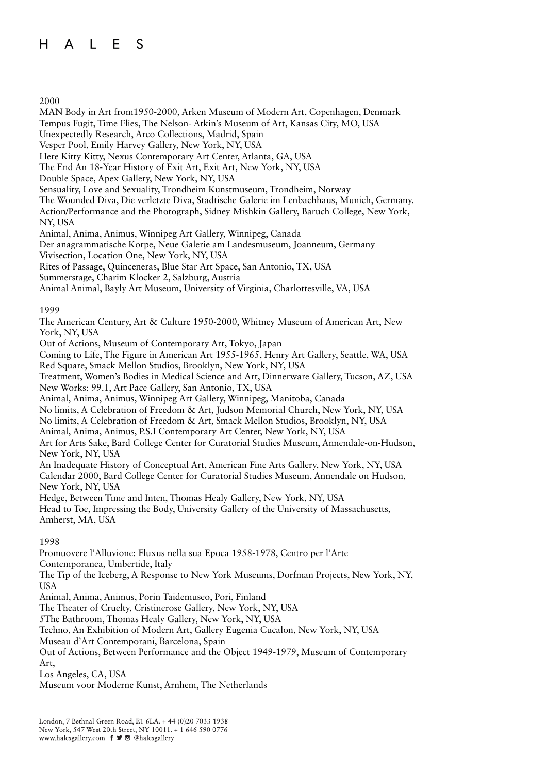2000

MAN Body in Art from1950-2000, Arken Museum of Modern Art, Copenhagen, Denmark Tempus Fugit, Time Flies, The Nelson- Atkin's Museum of Art, Kansas City, MO, USA Unexpectedly Research, Arco Collections, Madrid, Spain Vesper Pool, Emily Harvey Gallery, New York, NY, USA Here Kitty Kitty, Nexus Contemporary Art Center, Atlanta, GA, USA The End An 18-Year History of Exit Art, Exit Art, New York, NY, USA Double Space, Apex Gallery, New York, NY, USA Sensuality, Love and Sexuality, Trondheim Kunstmuseum, Trondheim, Norway The Wounded Diva, Die verletzte Diva, Stadtische Galerie im Lenbachhaus, Munich, Germany. Action/Performance and the Photograph, Sidney Mishkin Gallery, Baruch College, New York, NY, USA Animal, Anima, Animus, Winnipeg Art Gallery, Winnipeg, Canada Der anagrammatische Korpe, Neue Galerie am Landesmuseum, Joanneum, Germany Vivisection, Location One, New York, NY, USA Rites of Passage, Quinceneras, Blue Star Art Space, San Antonio, TX, USA Summerstage, Charim Klocker 2, Salzburg, Austria Animal Animal, Bayly Art Museum, University of Virginia, Charlottesville, VA, USA 1999 The American Century, Art & Culture 1950-2000, Whitney Museum of American Art, New York, NY, USA Out of Actions, Museum of Contemporary Art, Tokyo, Japan Coming to Life, The Figure in American Art 1955-1965, Henry Art Gallery, Seattle, WA, USA Red Square, Smack Mellon Studios, Brooklyn, New York, NY, USA Treatment, Women's Bodies in Medical Science and Art, Dinnerware Gallery, Tucson, AZ, USA New Works: 99.1, Art Pace Gallery, San Antonio, TX, USA Animal, Anima, Animus, Winnipeg Art Gallery, Winnipeg, Manitoba, Canada No limits, A Celebration of Freedom & Art, Judson Memorial Church, New York, NY, USA No limits, A Celebration of Freedom & Art, Smack Mellon Studios, Brooklyn, NY, USA Animal, Anima, Animus, P.S.I Contemporary Art Center, New York, NY, USA Art for Arts Sake, Bard College Center for Curatorial Studies Museum, Annendale-on-Hudson, New York, NY, USA An Inadequate History of Conceptual Art, American Fine Arts Gallery, New York, NY, USA Calendar 2000, Bard College Center for Curatorial Studies Museum, Annendale on Hudson, New York, NY, USA Hedge, Between Time and Inten, Thomas Healy Gallery, New York, NY, USA Head to Toe, Impressing the Body, University Gallery of the University of Massachusetts, Amherst, MA, USA 1998 Promuovere l'Alluvione: Fluxus nella sua Epoca 1958-1978, Centro per l'Arte Contemporanea, Umbertide, Italy The Tip of the Iceberg, A Response to New York Museums, Dorfman Projects, New York, NY, USA Animal, Anima, Animus, Porin Taidemuseo, Pori, Finland The Theater of Cruelty, Cristinerose Gallery, New York, NY, USA 5The Bathroom, Thomas Healy Gallery, New York, NY, USA

Techno, An Exhibition of Modern Art, Gallery Eugenia Cucalon, New York, NY, USA

Museau d'Art Contemporani, Barcelona, Spain

Out of Actions, Between Performance and the Object 1949-1979, Museum of Contemporary

Art,

Los Angeles, CA, USA

Museum voor Moderne Kunst, Arnhem, The Netherlands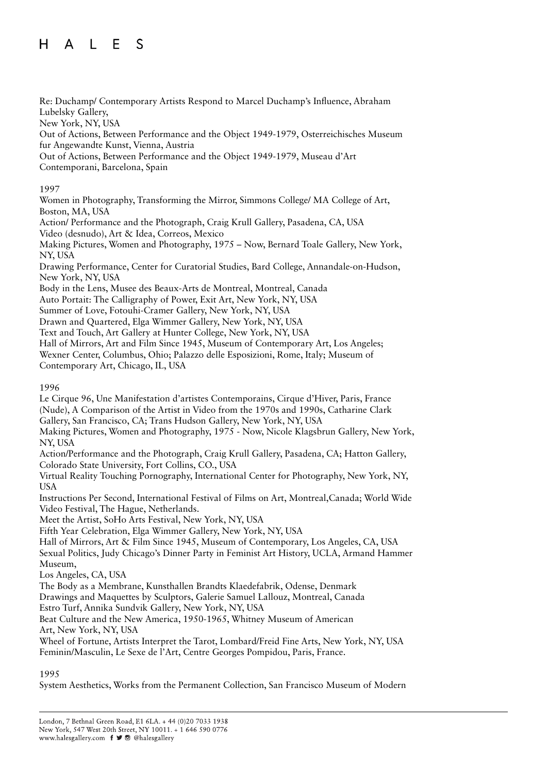Re: Duchamp/ Contemporary Artists Respond to Marcel Duchamp's Influence, Abraham Lubelsky Gallery, New York, NY, USA

Out of Actions, Between Performance and the Object 1949-1979, Osterreichisches Museum fur Angewandte Kunst, Vienna, Austria

Out of Actions, Between Performance and the Object 1949-1979, Museau d'Art Contemporani, Barcelona, Spain

## 1997

Women in Photography, Transforming the Mirror, Simmons College/ MA College of Art, Boston, MA, USA

Action/ Performance and the Photograph, Craig Krull Gallery, Pasadena, CA, USA Video (desnudo), Art & Idea, Correos, Mexico

Making Pictures, Women and Photography, 1975 – Now, Bernard Toale Gallery, New York, NY, USA

Drawing Performance, Center for Curatorial Studies, Bard College, Annandale-on-Hudson, New York, NY, USA

Body in the Lens, Musee des Beaux-Arts de Montreal, Montreal, Canada

Auto Portait: The Calligraphy of Power, Exit Art, New York, NY, USA

Summer of Love, Fotouhi-Cramer Gallery, New York, NY, USA

Drawn and Quartered, Elga Wimmer Gallery, New York, NY, USA

Text and Touch, Art Gallery at Hunter College, New York, NY, USA

Hall of Mirrors, Art and Film Since 1945, Museum of Contemporary Art, Los Angeles; Wexner Center, Columbus, Ohio; Palazzo delle Esposizioni, Rome, Italy; Museum of Contemporary Art, Chicago, IL, USA

1996

Le Cirque 96, Une Manifestation d'artistes Contemporains, Cirque d'Hiver, Paris, France (Nude), A Comparison of the Artist in Video from the 1970s and 1990s, Catharine Clark Gallery, San Francisco, CA; Trans Hudson Gallery, New York, NY, USA Making Pictures, Women and Photography, 1975 - Now, Nicole Klagsbrun Gallery, New York, NY, USA

Action/Performance and the Photograph, Craig Krull Gallery, Pasadena, CA; Hatton Gallery, Colorado State University, Fort Collins, CO., USA

Virtual Reality Touching Pornography, International Center for Photography, New York, NY, USA

Instructions Per Second, International Festival of Films on Art, Montreal,Canada; World Wide Video Festival, The Hague, Netherlands.

Meet the Artist, SoHo Arts Festival, New York, NY, USA

Fifth Year Celebration, Elga Wimmer Gallery, New York, NY, USA

Hall of Mirrors, Art & Film Since 1945, Museum of Contemporary, Los Angeles, CA, USA

Sexual Politics, Judy Chicago's Dinner Party in Feminist Art History, UCLA, Armand Hammer Museum,

Los Angeles, CA, USA

The Body as a Membrane, Kunsthallen Brandts Klaedefabrik, Odense, Denmark

Drawings and Maquettes by Sculptors, Galerie Samuel Lallouz, Montreal, Canada

Estro Turf, Annika Sundvik Gallery, New York, NY, USA

Beat Culture and the New America, 1950-1965, Whitney Museum of American Art, New York, NY, USA

Wheel of Fortune, Artists Interpret the Tarot, Lombard/Freid Fine Arts, New York, NY, USA Feminin/Masculin, Le Sexe de l'Art, Centre Georges Pompidou, Paris, France.

#### 1995

System Aesthetics, Works from the Permanent Collection, San Francisco Museum of Modern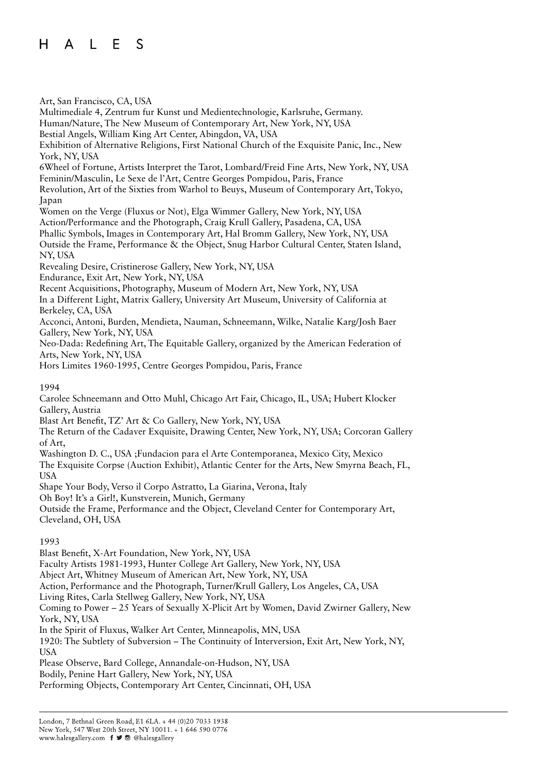Art, San Francisco, CA, USA Multimediale 4, Zentrum fur Kunst und Medientechnologie, Karlsruhe, Germany. Human/Nature, The New Museum of Contemporary Art, New York, NY, USA Bestial Angels, William King Art Center, Abingdon, VA, USA Exhibition of Alternative Religions, First National Church of the Exquisite Panic, Inc., New York, NY, USA 6Wheel of Fortune, Artists Interpret the Tarot, Lombard/Freid Fine Arts, New York, NY, USA Feminin/Masculin, Le Sexe de l'Art, Centre Georges Pompidou, Paris, France Revolution, Art of the Sixties from Warhol to Beuys, Museum of Contemporary Art, Tokyo, Japan Women on the Verge (Fluxus or Not), Elga Wimmer Gallery, New York, NY, USA Action/Performance and the Photograph, Craig Krull Gallery, Pasadena, CA, USA Phallic Symbols, Images in Contemporary Art, Hal Bromm Gallery, New York, NY, USA Outside the Frame, Performance & the Object, Snug Harbor Cultural Center, Staten Island, NY, USA Revealing Desire, Cristinerose Gallery, New York, NY, USA Endurance, Exit Art, New York, NY, USA Recent Acquisitions, Photography, Museum of Modern Art, New York, NY, USA In a Different Light, Matrix Gallery, University Art Museum, University of California at Berkeley, CA, USA Acconci, Antoni, Burden, Mendieta, Nauman, Schneemann, Wilke, Natalie Karg/Josh Baer Gallery, New York, NY, USA Neo-Dada: Redefining Art, The Equitable Gallery, organized by the American Federation of Arts, New York, NY, USA Hors Limites 1960-1995, Centre Georges Pompidou, Paris, France 1994 Carolee Schneemann and Otto Muhl, Chicago Art Fair, Chicago, IL, USA; Hubert Klocker Gallery, Austria Blast Art Benefit, TZ' Art & Co Gallery, New York, NY, USA The Return of the Cadaver Exquisite, Drawing Center, New York, NY, USA; Corcoran Gallery of Art, Washington D. C., USA ;Fundacion para el Arte Contemporanea, Mexico City, Mexico The Exquisite Corpse (Auction Exhibit), Atlantic Center for the Arts, New Smyrna Beach, FL, USA Shape Your Body, Verso il Corpo Astratto, La Giarina, Verona, Italy Oh Boy! It's a Girl!, Kunstverein, Munich, Germany Outside the Frame, Performance and the Object, Cleveland Center for Contemporary Art, Cleveland, OH, USA 1993 Blast Benefit, X-Art Foundation, New York, NY, USA Faculty Artists 1981-1993, Hunter College Art Gallery, New York, NY, USA Abject Art, Whitney Museum of American Art, New York, NY, USA Action, Performance and the Photograph, Turner/Krull Gallery, Los Angeles, CA, USA

Living Rites, Carla Stellweg Gallery, New York, NY, USA

Coming to Power – 25 Years of Sexually X-Plicit Art by Women, David Zwirner Gallery, New York, NY, USA

In the Spirit of Fluxus, Walker Art Center, Minneapolis, MN, USA

1920: The Subtlety of Subversion – The Continuity of Interversion, Exit Art, New York, NY, USA

Please Observe, Bard College, Annandale-on-Hudson, NY, USA

Bodily, Penine Hart Gallery, New York, NY, USA

Performing Objects, Contemporary Art Center, Cincinnati, OH, USA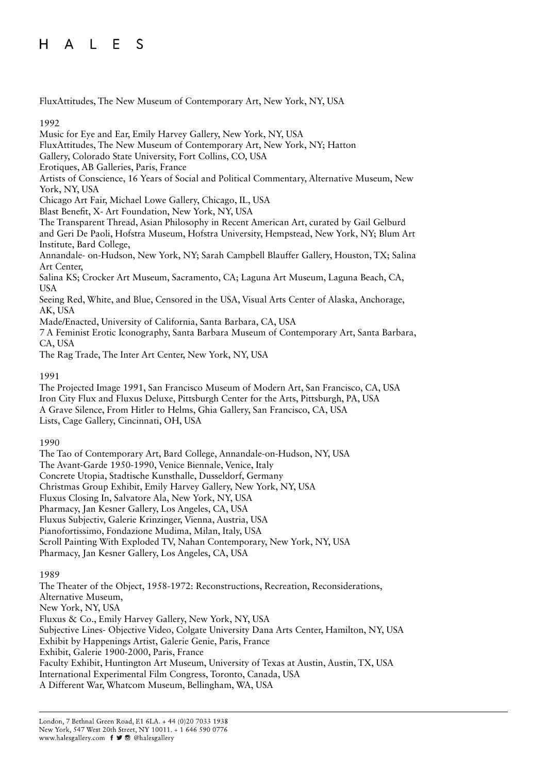FluxAttitudes, The New Museum of Contemporary Art, New York, NY, USA

#### 1992

Music for Eye and Ear, Emily Harvey Gallery, New York, NY, USA FluxAttitudes, The New Museum of Contemporary Art, New York, NY; Hatton Gallery, Colorado State University, Fort Collins, CO, USA Erotiques, AB Galleries, Paris, France Artists of Conscience, 16 Years of Social and Political Commentary, Alternative Museum, New York, NY, USA Chicago Art Fair, Michael Lowe Gallery, Chicago, IL, USA Blast Benefit, X- Art Foundation, New York, NY, USA The Transparent Thread, Asian Philosophy in Recent American Art, curated by Gail Gelburd and Geri De Paoli, Hofstra Museum, Hofstra University, Hempstead, New York, NY; Blum Art Institute, Bard College, Annandale- on-Hudson, New York, NY; Sarah Campbell Blauffer Gallery, Houston, TX; Salina Art Center, Salina KS; Crocker Art Museum, Sacramento, CA; Laguna Art Museum, Laguna Beach, CA, USA Seeing Red, White, and Blue, Censored in the USA, Visual Arts Center of Alaska, Anchorage, AK, USA Made/Enacted, University of California, Santa Barbara, CA, USA 7 A Feminist Erotic Iconography, Santa Barbara Museum of Contemporary Art, Santa Barbara,

CA, USA The Rag Trade, The Inter Art Center, New York, NY, USA

## 1991

The Projected Image 1991, San Francisco Museum of Modern Art, San Francisco, CA, USA Iron City Flux and Fluxus Deluxe, Pittsburgh Center for the Arts, Pittsburgh, PA, USA A Grave Silence, From Hitler to Helms, Ghia Gallery, San Francisco, CA, USA Lists, Cage Gallery, Cincinnati, OH, USA

#### 1990

The Tao of Contemporary Art, Bard College, Annandale-on-Hudson, NY, USA The Avant-Garde 1950-1990, Venice Biennale, Venice, Italy Concrete Utopia, Stadtische Kunsthalle, Dusseldorf, Germany Christmas Group Exhibit, Emily Harvey Gallery, New York, NY, USA Fluxus Closing In, Salvatore Ala, New York, NY, USA Pharmacy, Jan Kesner Gallery, Los Angeles, CA, USA Fluxus Subjectiv, Galerie Krinzinger, Vienna, Austria, USA Pianofortissimo, Fondazione Mudima, Milan, Italy, USA Scroll Painting With Exploded TV, Nahan Contemporary, New York, NY, USA Pharmacy, Jan Kesner Gallery, Los Angeles, CA, USA

#### 1989

The Theater of the Object, 1958-1972: Reconstructions, Recreation, Reconsiderations, Alternative Museum, New York, NY, USA Fluxus & Co., Emily Harvey Gallery, New York, NY, USA Subjective Lines- Objective Video, Colgate University Dana Arts Center, Hamilton, NY, USA Exhibit by Happenings Artist, Galerie Genie, Paris, France Exhibit, Galerie 1900-2000, Paris, France Faculty Exhibit, Huntington Art Museum, University of Texas at Austin, Austin, TX, USA International Experimental Film Congress, Toronto, Canada, USA A Different War, Whatcom Museum, Bellingham, WA, USA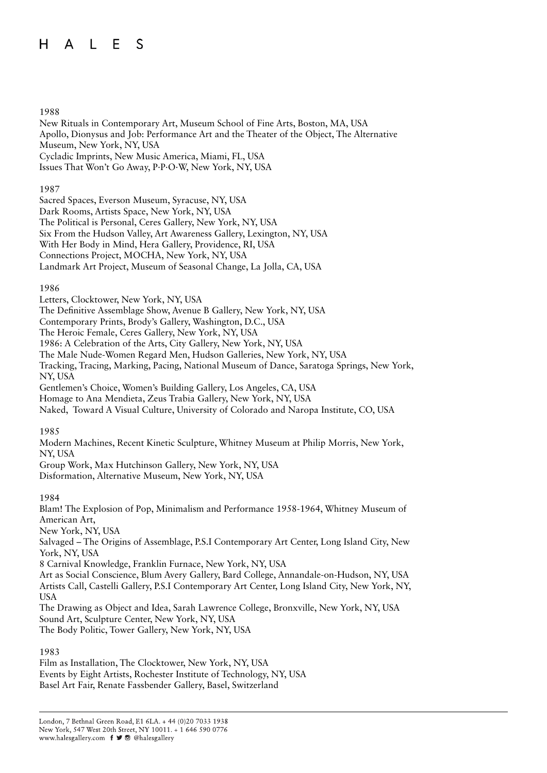#### $H$ L E  $\mathsf{A}$ S

#### 1988

New Rituals in Contemporary Art, Museum School of Fine Arts, Boston, MA, USA Apollo, Dionysus and Job: Performance Art and the Theater of the Object, The Alternative Museum, New York, NY, USA Cycladic Imprints, New Music America, Miami, FL, USA Issues That Won't Go Away, P·P·O·W, New York, NY, USA

#### 1987

Sacred Spaces, Everson Museum, Syracuse, NY, USA Dark Rooms, Artists Space, New York, NY, USA The Political is Personal, Ceres Gallery, New York, NY, USA Six From the Hudson Valley, Art Awareness Gallery, Lexington, NY, USA With Her Body in Mind, Hera Gallery, Providence, RI, USA Connections Project, MOCHA, New York, NY, USA

Landmark Art Project, Museum of Seasonal Change, La Jolla, CA, USA

#### 1986

Letters, Clocktower, New York, NY, USA

The Definitive Assemblage Show, Avenue B Gallery, New York, NY, USA

Contemporary Prints, Brody's Gallery, Washington, D.C., USA

The Heroic Female, Ceres Gallery, New York, NY, USA

1986: A Celebration of the Arts, City Gallery, New York, NY, USA

The Male Nude-Women Regard Men, Hudson Galleries, New York, NY, USA

Tracking, Tracing, Marking, Pacing, National Museum of Dance, Saratoga Springs, New York, NY, USA

Gentlemen's Choice, Women's Building Gallery, Los Angeles, CA, USA

Homage to Ana Mendieta, Zeus Trabia Gallery, New York, NY, USA

Naked, Toward A Visual Culture, University of Colorado and Naropa Institute, CO, USA

1985

Modern Machines, Recent Kinetic Sculpture, Whitney Museum at Philip Morris, New York, NY, USA

Group Work, Max Hutchinson Gallery, New York, NY, USA Disformation, Alternative Museum, New York, NY, USA

#### 1984

Blam! The Explosion of Pop, Minimalism and Performance 1958-1964, Whitney Museum of American Art, New York, NY, USA Salvaged – The Origins of Assemblage, P.S.I Contemporary Art Center, Long Island City, New York, NY, USA 8 Carnival Knowledge, Franklin Furnace, New York, NY, USA Art as Social Conscience, Blum Avery Gallery, Bard College, Annandale-on-Hudson, NY, USA Artists Call, Castelli Gallery, P.S.I Contemporary Art Center, Long Island City, New York, NY, USA The Drawing as Object and Idea, Sarah Lawrence College, Bronxville, New York, NY, USA Sound Art, Sculpture Center, New York, NY, USA The Body Politic, Tower Gallery, New York, NY, USA

#### 1983

Film as Installation, The Clocktower, New York, NY, USA Events by Eight Artists, Rochester Institute of Technology, NY, USA Basel Art Fair, Renate Fassbender Gallery, Basel, Switzerland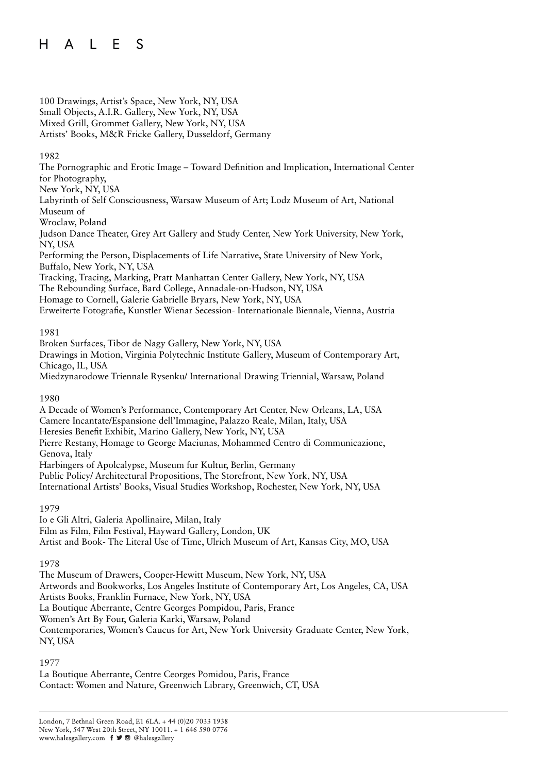100 Drawings, Artist's Space, New York, NY, USA Small Objects, A.I.R. Gallery, New York, NY, USA Mixed Grill, Grommet Gallery, New York, NY, USA Artists' Books, M&R Fricke Gallery, Dusseldorf, Germany

### 1982

The Pornographic and Erotic Image – Toward Definition and Implication, International Center for Photography, New York, NY, USA

Labyrinth of Self Consciousness, Warsaw Museum of Art; Lodz Museum of Art, National Museum of

Wroclaw, Poland

Judson Dance Theater, Grey Art Gallery and Study Center, New York University, New York, NY, USA

Performing the Person, Displacements of Life Narrative, State University of New York, Buffalo, New York, NY, USA

Tracking, Tracing, Marking, Pratt Manhattan Center Gallery, New York, NY, USA The Rebounding Surface, Bard College, Annadale-on-Hudson, NY, USA

Homage to Cornell, Galerie Gabrielle Bryars, New York, NY, USA

Erweiterte Fotografie, Kunstler Wienar Secession- Internationale Biennale, Vienna, Austria

## 1981

Broken Surfaces, Tibor de Nagy Gallery, New York, NY, USA Drawings in Motion, Virginia Polytechnic Institute Gallery, Museum of Contemporary Art, Chicago, IL, USA

Miedzynarodowe Triennale Rysenku/ International Drawing Triennial, Warsaw, Poland

1980

A Decade of Women's Performance, Contemporary Art Center, New Orleans, LA, USA Camere Incantate/Espansione dell'Immagine, Palazzo Reale, Milan, Italy, USA Heresies Benefit Exhibit, Marino Gallery, New York, NY, USA Pierre Restany, Homage to George Maciunas, Mohammed Centro di Communicazione, Genova, Italy Harbingers of Apolcalypse, Museum fur Kultur, Berlin, Germany Public Policy/ Architectural Propositions, The Storefront, New York, NY, USA International Artists' Books, Visual Studies Workshop, Rochester, New York, NY, USA

# 1979

Io e Gli Altri, Galeria Apollinaire, Milan, Italy Film as Film, Film Festival, Hayward Gallery, London, UK Artist and Book- The Literal Use of Time, Ulrich Museum of Art, Kansas City, MO, USA

#### 1978

The Museum of Drawers, Cooper-Hewitt Museum, New York, NY, USA Artwords and Bookworks, Los Angeles Institute of Contemporary Art, Los Angeles, CA, USA Artists Books, Franklin Furnace, New York, NY, USA La Boutique Aberrante, Centre Georges Pompidou, Paris, France Women's Art By Four, Galeria Karki, Warsaw, Poland Contemporaries, Women's Caucus for Art, New York University Graduate Center, New York, NY, USA

# 1977

La Boutique Aberrante, Centre Ceorges Pomidou, Paris, France Contact: Women and Nature, Greenwich Library, Greenwich, CT, USA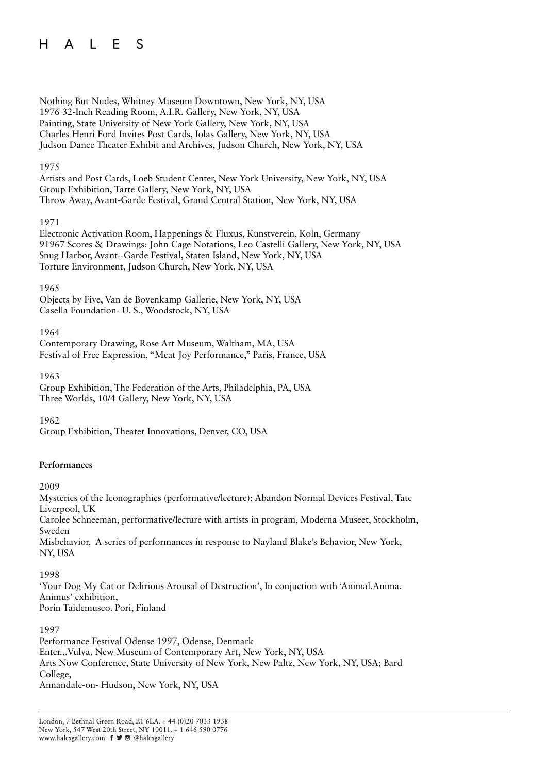#### A L E  $H$ S

Nothing But Nudes, Whitney Museum Downtown, New York, NY, USA 1976 32-Inch Reading Room, A.I.R. Gallery, New York, NY, USA Painting, State University of New York Gallery, New York, NY, USA Charles Henri Ford Invites Post Cards, Iolas Gallery, New York, NY, USA Judson Dance Theater Exhibit and Archives, Judson Church, New York, NY, USA

### 1975

Artists and Post Cards, Loeb Student Center, New York University, New York, NY, USA Group Exhibition, Tarte Gallery, New York, NY, USA Throw Away, Avant-Garde Festival, Grand Central Station, New York, NY, USA

#### 1971

Electronic Activation Room, Happenings & Fluxus, Kunstverein, Koln, Germany 91967 Scores & Drawings: John Cage Notations, Leo Castelli Gallery, New York, NY, USA Snug Harbor, Avant--Garde Festival, Staten Island, New York, NY, USA Torture Environment, Judson Church, New York, NY, USA

1965

Objects by Five, Van de Bovenkamp Gallerie, New York, NY, USA Casella Foundation- U. S., Woodstock, NY, USA

1964

Contemporary Drawing, Rose Art Museum, Waltham, MA, USA Festival of Free Expression, "Meat Joy Performance," Paris, France, USA

1963

Group Exhibition, The Federation of the Arts, Philadelphia, PA, USA Three Worlds, 10/4 Gallery, New York, NY, USA

1962

Group Exhibition, Theater Innovations, Denver, CO, USA

#### **Performances**

2009

Mysteries of the Iconographies (performative/lecture); Abandon Normal Devices Festival, Tate Liverpool, UK Carolee Schneeman, performative/lecture with artists in program, Moderna Museet, Stockholm, Sweden Misbehavior, A series of performances in response to Nayland Blake's Behavior, New York, NY, USA

1998

'Your Dog My Cat or Delirious Arousal of Destruction', In conjuction with 'Animal.Anima. Animus' exhibition, Porin Taidemuseo. Pori, Finland

1997

Performance Festival Odense 1997, Odense, Denmark Enter...Vulva. New Museum of Contemporary Art, New York, NY, USA Arts Now Conference, State University of New York, New Paltz, New York, NY, USA; Bard College, Annandale-on- Hudson, New York, NY, USA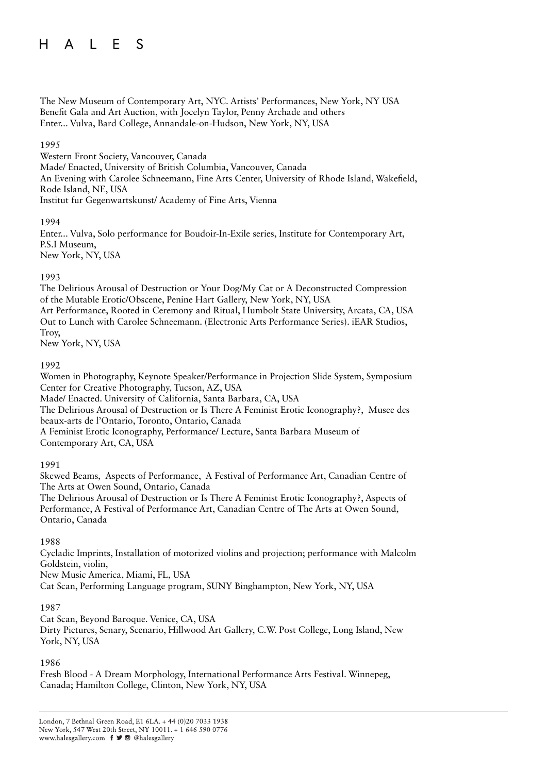The New Museum of Contemporary Art, NYC. Artists' Performances, New York, NY USA Benefit Gala and Art Auction, with Jocelyn Taylor, Penny Archade and others Enter... Vulva, Bard College, Annandale-on-Hudson, New York, NY, USA

### 1995

Western Front Society, Vancouver, Canada

Made/ Enacted, University of British Columbia, Vancouver, Canada

An Evening with Carolee Schneemann, Fine Arts Center, University of Rhode Island, Wakefield, Rode Island, NE, USA

Institut fur Gegenwartskunst/ Academy of Fine Arts, Vienna

#### 1994

Enter... Vulva, Solo performance for Boudoir-In-Exile series, Institute for Contemporary Art, P.S.I Museum, New York, NY, USA

1993

The Delirious Arousal of Destruction or Your Dog/My Cat or A Deconstructed Compression of the Mutable Erotic/Obscene, Penine Hart Gallery, New York, NY, USA Art Performance, Rooted in Ceremony and Ritual, Humbolt State University, Arcata, CA, USA Out to Lunch with Carolee Schneemann. (Electronic Arts Performance Series). iEAR Studios,

Troy,

New York, NY, USA

1992

Women in Photography, Keynote Speaker/Performance in Projection Slide System, Symposium Center for Creative Photography, Tucson, AZ, USA

Made/ Enacted. University of California, Santa Barbara, CA, USA

The Delirious Arousal of Destruction or Is There A Feminist Erotic Iconography?, Musee des beaux-arts de l'Ontario, Toronto, Ontario, Canada

A Feminist Erotic Iconography, Performance/ Lecture, Santa Barbara Museum of Contemporary Art, CA, USA

1991

Skewed Beams, Aspects of Performance, A Festival of Performance Art, Canadian Centre of The Arts at Owen Sound, Ontario, Canada

The Delirious Arousal of Destruction or Is There A Feminist Erotic Iconography?, Aspects of Performance, A Festival of Performance Art, Canadian Centre of The Arts at Owen Sound, Ontario, Canada

1988

Cycladic Imprints, Installation of motorized violins and projection; performance with Malcolm Goldstein, violin,

New Music America, Miami, FL, USA

Cat Scan, Performing Language program, SUNY Binghampton, New York, NY, USA

#### 1987

Cat Scan, Beyond Baroque. Venice, CA, USA Dirty Pictures, Senary, Scenario, Hillwood Art Gallery, C.W. Post College, Long Island, New York, NY, USA

1986

Fresh Blood - A Dream Morphology, International Performance Arts Festival. Winnepeg, Canada; Hamilton College, Clinton, New York, NY, USA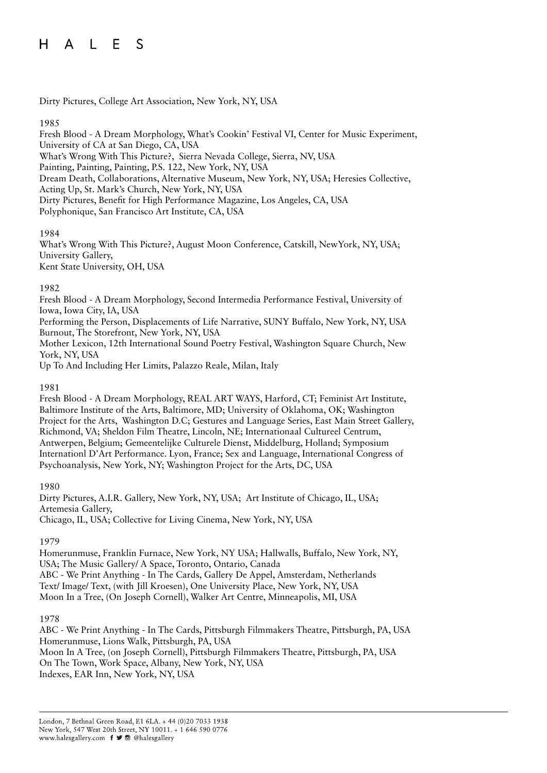#### $H$ L E S  $\mathsf{A}$

Dirty Pictures, College Art Association, New York, NY, USA

#### 1985

Fresh Blood - A Dream Morphology, What's Cookin' Festival VI, Center for Music Experiment, University of CA at San Diego, CA, USA What's Wrong With This Picture?, Sierra Nevada College, Sierra, NV, USA Painting, Painting, Painting, P.S. 122, New York, NY, USA Dream Death, Collaborations, Alternative Museum, New York, NY, USA; Heresies Collective, Acting Up, St. Mark's Church, New York, NY, USA Dirty Pictures, Benefit for High Performance Magazine, Los Angeles, CA, USA Polyphonique, San Francisco Art Institute, CA, USA

#### 1984

What's Wrong With This Picture?, August Moon Conference, Catskill, NewYork, NY, USA; University Gallery, Kent State University, OH, USA

## 1982

Fresh Blood - A Dream Morphology, Second Intermedia Performance Festival, University of Iowa, Iowa City, IA, USA

Performing the Person, Displacements of Life Narrative, SUNY Buffalo, New York, NY, USA Burnout, The Storefront, New York, NY, USA

Mother Lexicon, 12th International Sound Poetry Festival, Washington Square Church, New York, NY, USA

Up To And Including Her Limits, Palazzo Reale, Milan, Italy

1981

Fresh Blood - A Dream Morphology, REAL ART WAYS, Harford, CT; Feminist Art Institute, Baltimore Institute of the Arts, Baltimore, MD; University of Oklahoma, OK; Washington Project for the Arts, Washington D.C; Gestures and Language Series, East Main Street Gallery, Richmond, VA; Sheldon Film Theatre, Lincoln, NE; Internationaal Cultureel Centrum, Antwerpen, Belgium; Gemeentelijke Culturele Dienst, Middelburg, Holland; Symposium Internationl D'Art Performance. Lyon, France; Sex and Language, International Congress of Psychoanalysis, New York, NY; Washington Project for the Arts, DC, USA

#### 1980

Dirty Pictures, A.I.R. Gallery, New York, NY, USA; Art Institute of Chicago, IL, USA; Artemesia Gallery, Chicago, IL, USA; Collective for Living Cinema, New York, NY, USA

#### 1979

Homerunmuse, Franklin Furnace, New York, NY USA; Hallwalls, Buffalo, New York, NY, USA; The Music Gallery/ A Space, Toronto, Ontario, Canada ABC - We Print Anything - In The Cards, Gallery De Appel, Amsterdam, Netherlands Text/ Image/ Text, (with Jill Kroesen), One University Place, New York, NY, USA Moon In a Tree, (On Joseph Cornell), Walker Art Centre, Minneapolis, MI, USA

#### 1978

ABC - We Print Anything - In The Cards, Pittsburgh Filmmakers Theatre, Pittsburgh, PA, USA Homerunmuse, Lions Walk, Pittsburgh, PA, USA Moon In A Tree, (on Joseph Cornell), Pittsburgh Filmmakers Theatre, Pittsburgh, PA, USA On The Town, Work Space, Albany, New York, NY, USA Indexes, EAR Inn, New York, NY, USA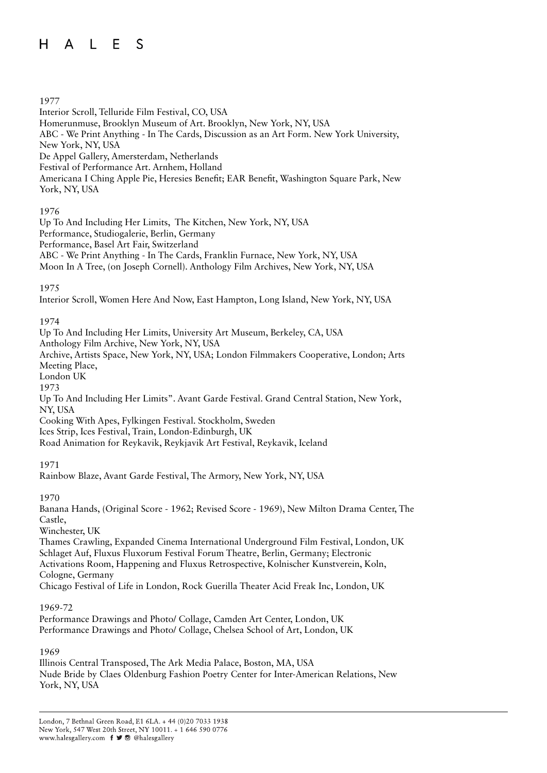#### $H$  $A \mid F$  $\mathcal{S}$

#### 1977

Interior Scroll, Telluride Film Festival, CO, USA Homerunmuse, Brooklyn Museum of Art. Brooklyn, New York, NY, USA ABC - We Print Anything - In The Cards, Discussion as an Art Form. New York University, New York, NY, USA De Appel Gallery, Amersterdam, Netherlands Festival of Performance Art. Arnhem, Holland Americana I Ching Apple Pie, Heresies Benefit; EAR Benefit, Washington Square Park, New York, NY, USA

## 1976

Up To And Including Her Limits, The Kitchen, New York, NY, USA Performance, Studiogalerie, Berlin, Germany Performance, Basel Art Fair, Switzerland ABC - We Print Anything - In The Cards, Franklin Furnace, New York, NY, USA Moon In A Tree, (on Joseph Cornell). Anthology Film Archives, New York, NY, USA

## 1975

Interior Scroll, Women Here And Now, East Hampton, Long Island, New York, NY, USA

## 1974

Up To And Including Her Limits, University Art Museum, Berkeley, CA, USA Anthology Film Archive, New York, NY, USA Archive, Artists Space, New York, NY, USA; London Filmmakers Cooperative, London; Arts Meeting Place, London UK

1973

Up To And Including Her Limits". Avant Garde Festival. Grand Central Station, New York, NY, USA

Cooking With Apes, Fylkingen Festival. Stockholm, Sweden

Ices Strip, Ices Festival, Train, London-Edinburgh, UK

Road Animation for Reykavik, Reykjavik Art Festival, Reykavik, Iceland

# 1971

Rainbow Blaze, Avant Garde Festival, The Armory, New York, NY, USA

#### 1970

Banana Hands, (Original Score - 1962; Revised Score - 1969), New Milton Drama Center, The Castle,

Winchester, UK

Thames Crawling, Expanded Cinema International Underground Film Festival, London, UK Schlaget Auf, Fluxus Fluxorum Festival Forum Theatre, Berlin, Germany; Electronic Activations Room, Happening and Fluxus Retrospective, Kolnischer Kunstverein, Koln, Cologne, Germany Chicago Festival of Life in London, Rock Guerilla Theater Acid Freak Inc, London, UK

#### 1969-72

Performance Drawings and Photo/ Collage, Camden Art Center, London, UK Performance Drawings and Photo/ Collage, Chelsea School of Art, London, UK

#### 1969

Illinois Central Transposed, The Ark Media Palace, Boston, MA, USA Nude Bride by Claes Oldenburg Fashion Poetry Center for Inter-American Relations, New York, NY, USA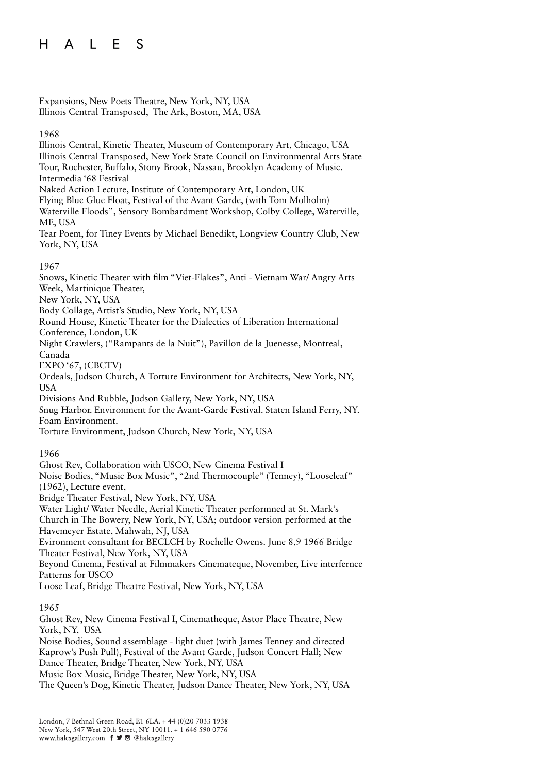Expansions, New Poets Theatre, New York, NY, USA Illinois Central Transposed, The Ark, Boston, MA, USA

#### 1968

Illinois Central, Kinetic Theater, Museum of Contemporary Art, Chicago, USA Illinois Central Transposed, New York State Council on Environmental Arts State Tour, Rochester, Buffalo, Stony Brook, Nassau, Brooklyn Academy of Music. Intermedia '68 Festival Naked Action Lecture, Institute of Contemporary Art, London, UK Flying Blue Glue Float, Festival of the Avant Garde, (with Tom Molholm) Waterville Floods", Sensory Bombardment Workshop, Colby College, Waterville,

ME, USA

Tear Poem, for Tiney Events by Michael Benedikt, Longview Country Club, New York, NY, USA

#### 1967

Snows, Kinetic Theater with film "Viet-Flakes", Anti - Vietnam War/ Angry Arts Week, Martinique Theater, New York, NY, USA Body Collage, Artist's Studio, New York, NY, USA

Round House, Kinetic Theater for the Dialectics of Liberation International Conference, London, UK

Night Crawlers, ("Rampants de la Nuit"), Pavillon de la Juenesse, Montreal, Canada

EXPO '67, (CBCTV)

Ordeals, Judson Church, A Torture Environment for Architects, New York, NY, USA

Divisions And Rubble, Judson Gallery, New York, NY, USA

Snug Harbor. Environment for the Avant-Garde Festival. Staten Island Ferry, NY. Foam Environment.

Torture Environment, Judson Church, New York, NY, USA

#### 1966

Ghost Rev, Collaboration with USCO, New Cinema Festival I Noise Bodies, "Music Box Music", "2nd Thermocouple" (Tenney), "Looseleaf" (1962), Lecture event, Bridge Theater Festival, New York, NY, USA Water Light/ Water Needle, Aerial Kinetic Theater performned at St. Mark's Church in The Bowery, New York, NY, USA; outdoor version performed at the Havemeyer Estate, Mahwah, NJ, USA Evironment consultant for BECLCH by Rochelle Owens. June 8,9 1966 Bridge Theater Festival, New York, NY, USA Beyond Cinema, Festival at Filmmakers Cinemateque, November, Live interfernce Patterns for USCO Loose Leaf, Bridge Theatre Festival, New York, NY, USA

#### 1965

Ghost Rev, New Cinema Festival I, Cinematheque, Astor Place Theatre, New York, NY, USA

Noise Bodies, Sound assemblage - light duet (with James Tenney and directed Kaprow's Push Pull), Festival of the Avant Garde, Judson Concert Hall; New Dance Theater, Bridge Theater, New York, NY, USA Music Box Music, Bridge Theater, New York, NY, USA

The Queen's Dog, Kinetic Theater, Judson Dance Theater, New York, NY, USA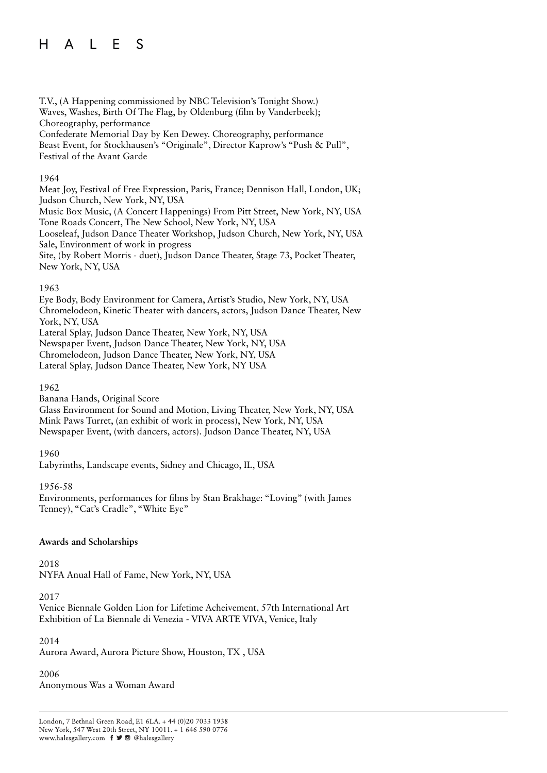#### A L E  $H$  $\mathcal{S}$

T.V., (A Happening commissioned by NBC Television's Tonight Show.) Waves, Washes, Birth Of The Flag, by Oldenburg (film by Vanderbeek); Choreography, performance Confederate Memorial Day by Ken Dewey. Choreography, performance Beast Event, for Stockhausen's "Originale", Director Kaprow's "Push & Pull", Festival of the Avant Garde

#### 1964

Meat Joy, Festival of Free Expression, Paris, France; Dennison Hall, London, UK; Judson Church, New York, NY, USA

Music Box Music, (A Concert Happenings) From Pitt Street, New York, NY, USA Tone Roads Concert, The New School, New York, NY, USA

Looseleaf, Judson Dance Theater Workshop, Judson Church, New York, NY, USA Sale, Environment of work in progress

Site, (by Robert Morris - duet), Judson Dance Theater, Stage 73, Pocket Theater, New York, NY, USA

#### 1963

Eye Body, Body Environment for Camera, Artist's Studio, New York, NY, USA Chromelodeon, Kinetic Theater with dancers, actors, Judson Dance Theater, New York, NY, USA Lateral Splay, Judson Dance Theater, New York, NY, USA

Newspaper Event, Judson Dance Theater, New York, NY, USA

Chromelodeon, Judson Dance Theater, New York, NY, USA Lateral Splay, Judson Dance Theater, New York, NY USA

#### 1962

Banana Hands, Original Score

Glass Environment for Sound and Motion, Living Theater, New York, NY, USA Mink Paws Turret, (an exhibit of work in process), New York, NY, USA Newspaper Event, (with dancers, actors). Judson Dance Theater, NY, USA

#### 1960

Labyrinths, Landscape events, Sidney and Chicago, IL, USA

#### 1956-58

Environments, performances for films by Stan Brakhage: "Loving" (with James Tenney), "Cat's Cradle", "White Eye"

#### **Awards and Scholarships**

2018 NYFA Anual Hall of Fame, New York, NY, USA

#### 2017

Venice Biennale Golden Lion for Lifetime Acheivement, 57th International Art Exhibition of La Biennale di Venezia - VIVA ARTE VIVA, Venice, Italy

#### 2014

Aurora Award, Aurora Picture Show, Houston, TX , USA

2006 Anonymous Was a Woman Award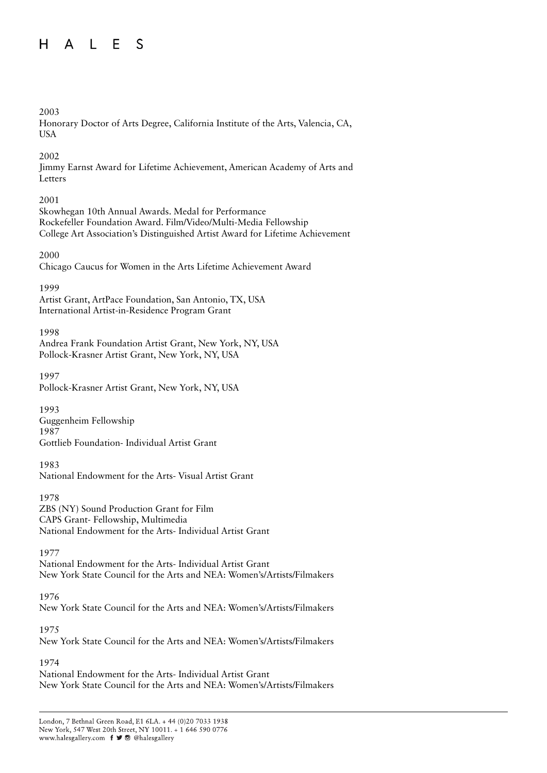#### $A \mid F$  $H$  $\mathcal{S}$

### 2003

Honorary Doctor of Arts Degree, California Institute of the Arts, Valencia, CA, USA

### 2002

Jimmy Earnst Award for Lifetime Achievement, American Academy of Arts and Letters

# 2001

Skowhegan 10th Annual Awards. Medal for Performance Rockefeller Foundation Award. Film/Video/Multi-Media Fellowship College Art Association's Distinguished Artist Award for Lifetime Achievement

## 2000

Chicago Caucus for Women in the Arts Lifetime Achievement Award

## 1999

Artist Grant, ArtPace Foundation, San Antonio, TX, USA International Artist-in-Residence Program Grant

# 1998

Andrea Frank Foundation Artist Grant, New York, NY, USA Pollock-Krasner Artist Grant, New York, NY, USA

1997 Pollock-Krasner Artist Grant, New York, NY, USA

# 1993

Guggenheim Fellowship 1987

Gottlieb Foundation- Individual Artist Grant

# 1983

National Endowment for the Arts- Visual Artist Grant

# 1978

ZBS (NY) Sound Production Grant for Film CAPS Grant- Fellowship, Multimedia National Endowment for the Arts- Individual Artist Grant

#### 1977

National Endowment for the Arts- Individual Artist Grant New York State Council for the Arts and NEA: Women's/Artists/Filmakers

# 1976

New York State Council for the Arts and NEA: Women's/Artists/Filmakers

# 1975

New York State Council for the Arts and NEA: Women's/Artists/Filmakers

# 1974

National Endowment for the Arts- Individual Artist Grant New York State Council for the Arts and NEA: Women's/Artists/Filmakers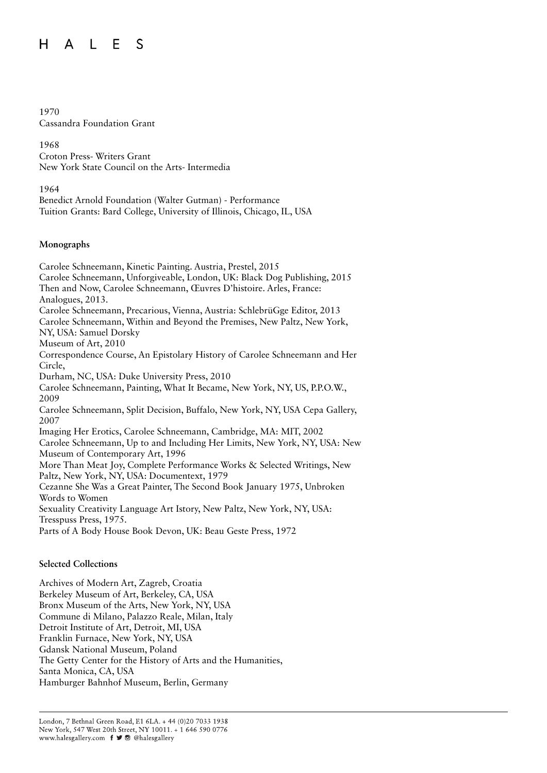#### $H$ L E S  $\mathsf{A}$

#### 1970

Cassandra Foundation Grant

1968 Croton Press- Writers Grant New York State Council on the Arts- Intermedia

1964

Benedict Arnold Foundation (Walter Gutman) - Performance Tuition Grants: Bard College, University of Illinois, Chicago, IL, USA

#### **Monographs**

Carolee Schneemann, Kinetic Painting. Austria, Prestel, 2015 Carolee Schneemann, Unforgiveable, London, UK: Black Dog Publishing, 2015 Then and Now, Carolee Schneemann, Œuvres D'histoire. Arles, France: Analogues, 2013. Carolee Schneemann, Precarious, Vienna, Austria: SchlebrüGge Editor, 2013 Carolee Schneemann, Within and Beyond the Premises, New Paltz, New York, NY, USA: Samuel Dorsky Museum of Art, 2010 Correspondence Course, An Epistolary History of Carolee Schneemann and Her Circle, Durham, NC, USA: Duke University Press, 2010 Carolee Schneemann, Painting, What It Became, New York, NY, US, P.P.O.W., 2009 Carolee Schneemann, Split Decision, Buffalo, New York, NY, USA Cepa Gallery, 2007 Imaging Her Erotics, Carolee Schneemann, Cambridge, MA: MIT, 2002 Carolee Schneemann, Up to and Including Her Limits, New York, NY, USA: New Museum of Contemporary Art, 1996 More Than Meat Joy, Complete Performance Works & Selected Writings, New Paltz, New York, NY, USA: Documentext, 1979 Cezanne She Was a Great Painter, The Second Book January 1975, Unbroken Words to Women Sexuality Creativity Language Art Istory, New Paltz, New York, NY, USA: Tresspuss Press, 1975. Parts of A Body House Book Devon, UK: Beau Geste Press, 1972

#### **Selected Collections**

Archives of Modern Art, Zagreb, Croatia Berkeley Museum of Art, Berkeley, CA, USA Bronx Museum of the Arts, New York, NY, USA Commune di Milano, Palazzo Reale, Milan, Italy Detroit Institute of Art, Detroit, MI, USA Franklin Furnace, New York, NY, USA Gdansk National Museum, Poland The Getty Center for the History of Arts and the Humanities, Santa Monica, CA, USA Hamburger Bahnhof Museum, Berlin, Germany